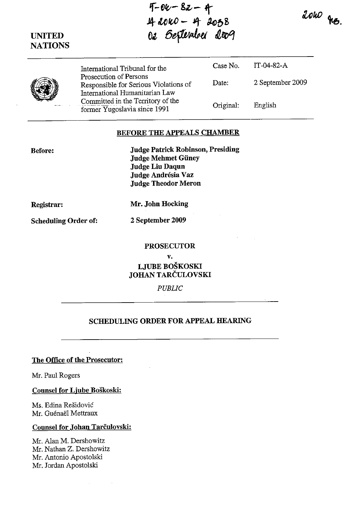If-fltt- **8z.,** - ff" J4- *etc* rc.o - Jt)- **kJt>** S I**z Seflembei doo9** 

UNITED **NATIONS** 

| International Tribunal for the                                                                      | Case No.  | IT-04-82-A       |
|-----------------------------------------------------------------------------------------------------|-----------|------------------|
| Prosecution of Persons<br>Responsible for Serious Violations of                                     | Date:     | 2 September 2009 |
| International Humanitarian Law<br>Committed in the Territory of the<br>former Yugoslavia since 1991 | Original: | English          |

## BEFORE THE APPEALS CHAMBER

Judge Patrick Robinson, Presiding Judge Mehmet Güney Judge Liu Daqun Judge Andrésia Vaz Judge Theodor Meron

Registrar:

Before:

Mr. John Hocking

Scheduling Order of:

2 September 2009

## PROSECUTOR

v.

LJUBE BOSKOSKI JOHAN TARČULOVSKI

*PUBLIC* 

## SCHEDULING ORDER FOR APPEAL HEARING

The Office of the Prosecutor:

Mr. Paul Rogers

Counsel for Ljube Boskoski:

Ms. Edina Residovic Mr. Guénaël Mettraux

Counsel for Johan Tarčulovski:

Mr. Alan M. Dershowitz Mr. Natban Z. Dershowitz Mr. Antonio Apostolski Mr. Jordan Apostolski

20W grs.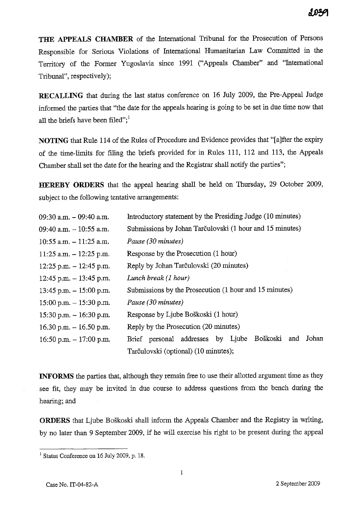**THE APPEALS CHAMBER** of the International Tribunal for the Prosecution of Persons Responsible for Serious Violations of International Humanitarian Law Committed in the Territory of the Former Yugoslavia since 1991 ("Appeals Chamber" and "International Tribunal", respectively);

**RECALLING** that during the last status conference on 16 July 2009, the Pre-Appeal Judge informed the parties that "the date for the appeals hearing is going to be set in due time now that all the briefs have been filed";<sup>1</sup>

**NOTING** that Rule 114 of the Rules of Procedure and Evidence provides that "[a]fter the expiry of the time-limits for filing the briefs provided for in Rules 111, 112 and 113, the Appeals Chamber shall set the date for the hearing and the Registrar shall notify the parties";

**HEREBY ORDERS** that the appeal hearing shall be held on Thursday, 29 October 2009, subject to the following tentative arrangements:

| 09:30 a.m. $-$ 09:40 a.m.  | Introductory statement by the Presiding Judge (10 minutes) |  |  |
|----------------------------|------------------------------------------------------------|--|--|
| 09:40 a.m. $-10:55$ a.m.   | Submissions by Johan Tarčulovski (1 hour and 15 minutes)   |  |  |
| $10:55$ a.m. $-11:25$ a.m. | Pause (30 minutes)                                         |  |  |
| $11:25$ a.m. $-12:25$ p.m. | Response by the Prosecution (1 hour)                       |  |  |
| $12:25$ p.m. $-12:45$ p.m. | Reply by Johan Tarčulovski (20 minutes)                    |  |  |
| $12:45$ p.m. $-13:45$ p.m. | Lunch break (1 hour)                                       |  |  |
| $13:45$ p.m. $-15:00$ p.m. | Submissions by the Prosecution (1 hour and 15 minutes)     |  |  |
| $15:00$ p.m. $-15:30$ p.m. | Pause (30 minutes)                                         |  |  |
| $15:30$ p.m. $-16:30$ p.m. | Response by Ljube Boškoski (1 hour)                        |  |  |
| $16.30$ p.m. $-16.50$ p.m. | Reply by the Prosecution (20 minutes)                      |  |  |
| 16:50 p.m. $-17:00$ p.m.   | Brief personal addresses by Ljube Boškoski and Johan       |  |  |
|                            | Tarčulovski (optional) (10 minutes);                       |  |  |

**INFORMS** the parties that, although they remain free to use their allotted argument time as they see fit, they may be invited in due course to address questions from the bench during the hearing; and

**ORDERS** that Ljube Boskoski shall inform the Appeals Chamber and the Registry in writing, by no later than 9 September 2009, if he will exercise his right to be present during the appeal

<sup>&</sup>lt;sup>1</sup> Status Conference on 16 July 2009, p. 18.